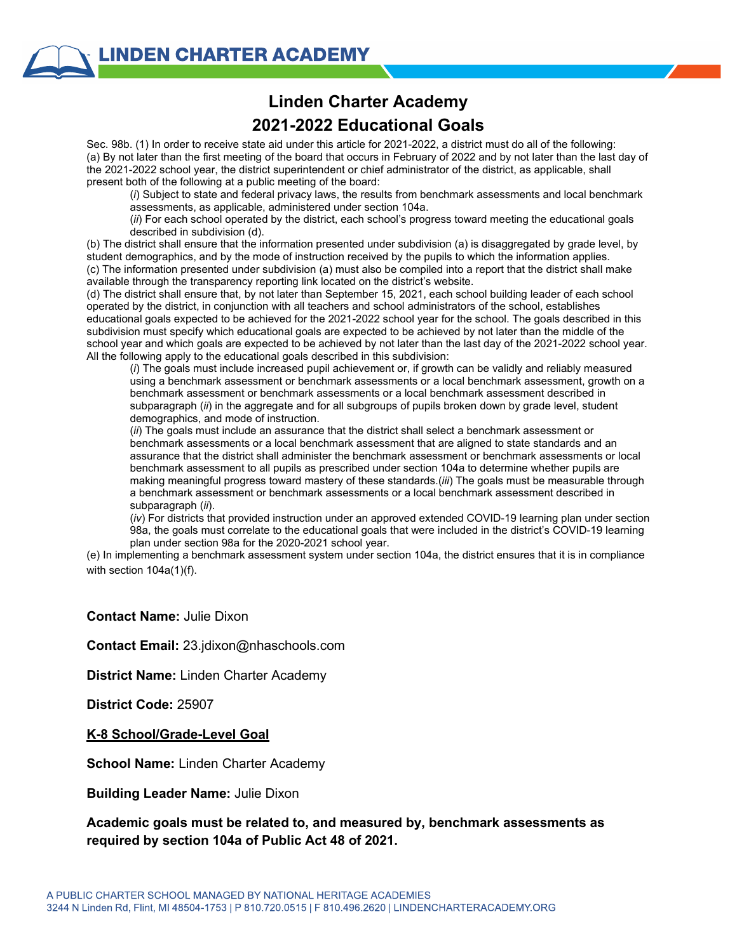## **Linden Charter Academy 2021-2022 Educational Goals**

Sec. 98b. (1) In order to receive state aid under this article for 2021-2022, a district must do all of the following: (a) By not later than the first meeting of the board that occurs in February of 2022 and by not later than the last day of the 2021-2022 school year, the district superintendent or chief administrator of the district, as applicable, shall present both of the following at a public meeting of the board:

(*i*) Subject to state and federal privacy laws, the results from benchmark assessments and local benchmark assessments, as applicable, administered under section 104a.

(*ii*) For each school operated by the district, each school's progress toward meeting the educational goals described in subdivision (d).

(b) The district shall ensure that the information presented under subdivision (a) is disaggregated by grade level, by student demographics, and by the mode of instruction received by the pupils to which the information applies. (c) The information presented under subdivision (a) must also be compiled into a report that the district shall make available through the transparency reporting link located on the district's website.

(d) The district shall ensure that, by not later than September 15, 2021, each school building leader of each school operated by the district, in conjunction with all teachers and school administrators of the school, establishes educational goals expected to be achieved for the 2021-2022 school year for the school. The goals described in this subdivision must specify which educational goals are expected to be achieved by not later than the middle of the school year and which goals are expected to be achieved by not later than the last day of the 2021-2022 school year. All the following apply to the educational goals described in this subdivision:

(*i*) The goals must include increased pupil achievement or, if growth can be validly and reliably measured using a benchmark assessment or benchmark assessments or a local benchmark assessment, growth on a benchmark assessment or benchmark assessments or a local benchmark assessment described in subparagraph (*ii*) in the aggregate and for all subgroups of pupils broken down by grade level, student demographics, and mode of instruction.

(*ii*) The goals must include an assurance that the district shall select a benchmark assessment or benchmark assessments or a local benchmark assessment that are aligned to state standards and an assurance that the district shall administer the benchmark assessment or benchmark assessments or local benchmark assessment to all pupils as prescribed under section 104a to determine whether pupils are making meaningful progress toward mastery of these standards.(*iii*) The goals must be measurable through a benchmark assessment or benchmark assessments or a local benchmark assessment described in subparagraph (*ii*).

(*iv*) For districts that provided instruction under an approved extended COVID-19 learning plan under section 98a, the goals must correlate to the educational goals that were included in the district's COVID-19 learning plan under section 98a for the 2020-2021 school year.

(e) In implementing a benchmark assessment system under section 104a, the district ensures that it is in compliance with section 104a(1)(f).

**Contact Name:** Julie Dixon

**Contact Email:** 23.jdixon@nhaschools.com

**District Name:** Linden Charter Academy

**District Code:** 25907

## **K-8 School/Grade-Level Goal**

**School Name:** Linden Charter Academy

**Building Leader Name:** Julie Dixon

## **Academic goals must be related to, and measured by, benchmark assessments as required by section 104a of Public Act 48 of 2021.**